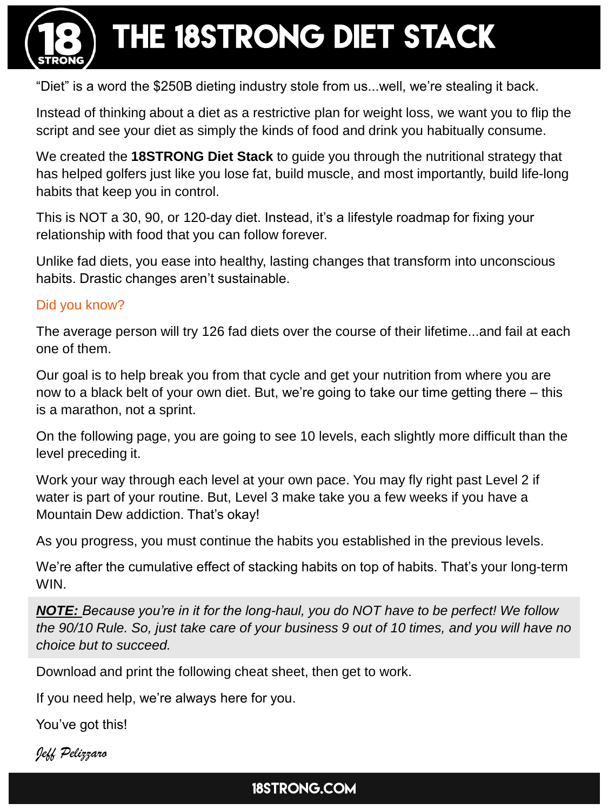

THE 18STRONG DIET STACK

"Diet" is a word the \$250B dieting industry stole from us...well, we're stealing it back.

Instead of thinking about a diet as a restrictive plan for weight loss, we want you to flip the script and see your diet as simply the kinds of food and drink you habitually consume.

We created the **18STRONG Diet Stack** to guide you through the nutritional strategy that has helped golfers just like you lose fat, build muscle, and most importantly, build life-long habits that keep you in control.

This is NOT a 30, 90, or 120-day diet. Instead, it's a lifestyle roadmap for fixing your relationship with food that you can follow forever.

Unlike fad diets, you ease into healthy, lasting changes that transform into unconscious habits. Drastic changes aren't sustainable.

#### Did you know?

The average person will try 126 fad diets over the course of their lifetime...and fail at each one of them.

Our goal is to help break you from that cycle and get your nutrition from where you are now to a black belt of your own diet. But, we're going to take our time getting there – this is a marathon, not a sprint.

On the following page, you are going to see 10 levels, each slightly more difficult than the level preceding it.

Work your way through each level at your own pace. You may fly right past Level 2 if water is part of your routine. But, Level 3 make take you a few weeks if you have a Mountain Dew addiction. That's okay!

As you progress, you must continue the habits you established in the previous levels.

We're after the cumulative effect of stacking habits on top of habits. That's your long-term WIN.

*NOTE: Because you're in it for the long-haul, you do NOT have to be perfect! We follow the 90/10 Rule. So, just take care of your business 9 out of 10 times, and you will have no choice but to succeed.*

Download and print the following cheat sheet, then get to work.

If you need help, we're always here for you.

You've got this!

*Jeff Pelizzaro*

18STRONG.COM